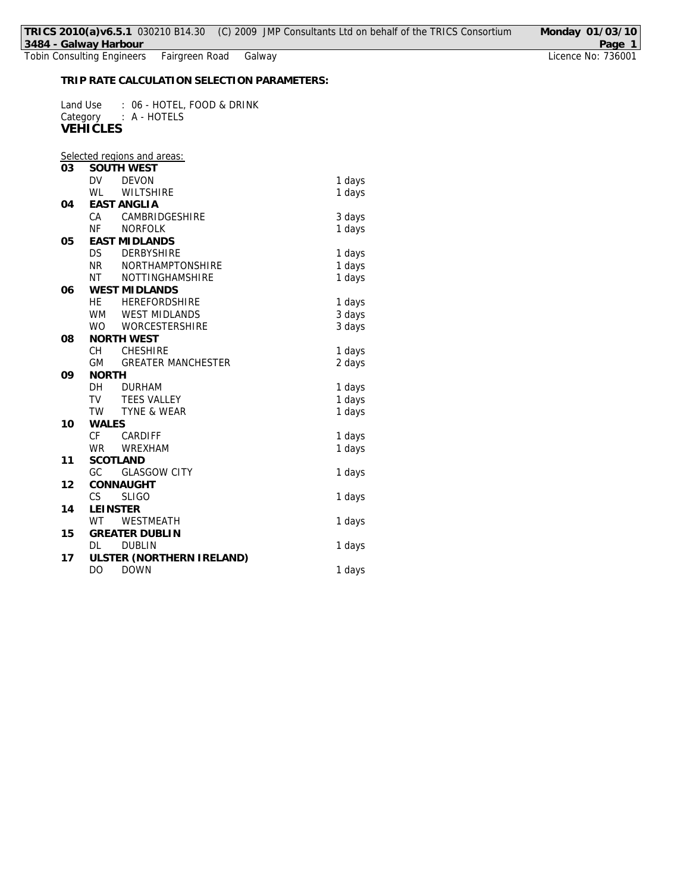Tobin Consulting Engineers Fairgreen Road Galway Licence No: 736001

**TRIP RATE CALCULATION SELECTION PARAMETERS:**

Land Use : 06 - HOTEL, FOOD & DRINK Category : A - HOTELS **VEHICLES**

|    |                 | Selected regions and areas: |        |
|----|-----------------|-----------------------------|--------|
| 03 |                 | <b>SOUTH WEST</b>           |        |
|    | <b>DV</b>       | <b>DEVON</b>                | 1 days |
|    | WL              | <b>WILTSHIRE</b>            | 1 days |
| 04 |                 | <b>EAST ANGLIA</b>          |        |
|    | CA              | CAMBRIDGESHIRE              | 3 days |
|    | <b>NF</b>       | <b>NORFOLK</b>              | 1 days |
| 05 |                 | <b>EAST MIDLANDS</b>        |        |
|    | DS              | <b>DERBYSHIRE</b>           | 1 days |
|    | <b>NR</b>       | NORTHAMPTONSHIRE            | 1 days |
|    | <b>NT</b>       | NOTTINGHAMSHIRE             | 1 days |
| 06 |                 | <b>WEST MIDLANDS</b>        |        |
|    | <b>HE</b>       | <b>HEREFORDSHIRE</b>        | 1 days |
|    | <b>WM</b>       | <b>WEST MIDLANDS</b>        | 3 days |
|    | <b>WO</b>       | <b>WORCESTERSHIRE</b>       | 3 days |
| 08 |                 | NORTH WEST                  |        |
|    | CН              | <b>CHESHIRE</b>             | 1 days |
|    | <b>GM</b>       | <b>GREATER MANCHESTER</b>   | 2 days |
| 09 | <b>NORTH</b>    |                             |        |
|    | DH              | <b>DURHAM</b>               | 1 days |
|    | TV              | <b>TEES VALLEY</b>          | 1 days |
|    | <b>TW</b>       | TYNE & WEAR                 | 1 days |
| 10 | <b>WALES</b>    |                             |        |
|    | <b>CF</b>       | CARDIFF                     | 1 days |
|    | <b>WR</b>       | <b>WREXHAM</b>              | 1 days |
| 11 | <b>SCOTLAND</b> |                             |        |
|    | GC              | <b>GLASGOW CITY</b>         | 1 days |
| 12 |                 | CONNAUGHT                   |        |
|    | CS              | <b>SLIGO</b>                | 1 days |
| 14 | <b>LEINSTER</b> |                             |        |
|    | <b>WT</b>       | WESTMEATH                   | 1 days |
| 15 |                 | <b>GREATER DUBLIN</b>       |        |
|    | DL              | <b>DUBLIN</b>               | 1 days |
| 17 |                 | ULSTER (NORTHERN IRELAND)   |        |
|    | DO              | <b>DOWN</b>                 | 1 days |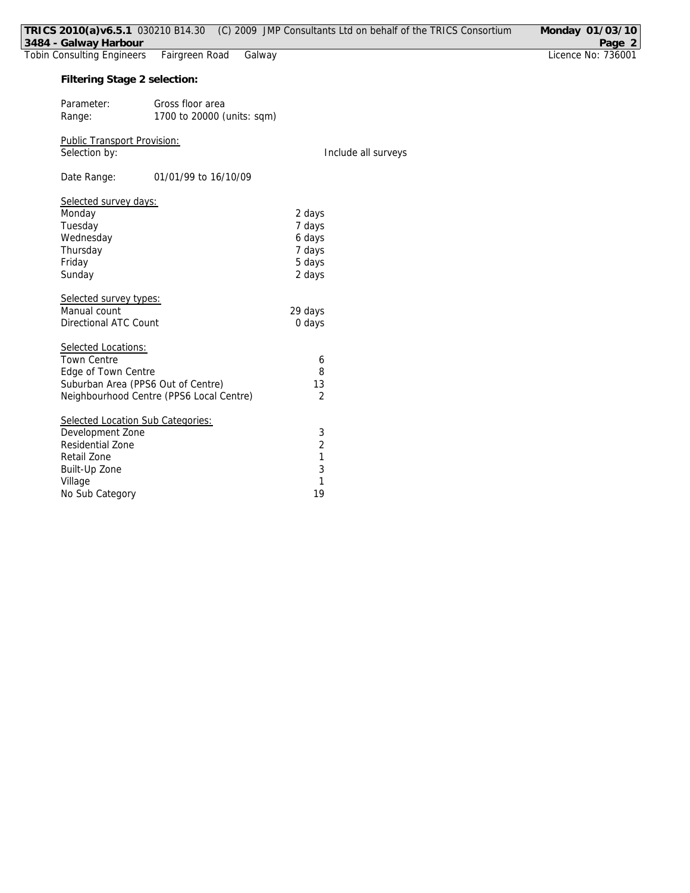| 3484 - Galway Harbour              |                                          | TRICS 2010(a)v6.5.1 030210 B14.30 (C) 2009 JMP Consultants Ltd on behalf of the TRICS Consortium | Monday 01/03/10<br>Page 2 |
|------------------------------------|------------------------------------------|--------------------------------------------------------------------------------------------------|---------------------------|
| <b>Tobin Consulting Engineers</b>  | Fairgreen Road<br>Galway                 |                                                                                                  | Licence No: 736001        |
| Filtering Stage 2 selection:       |                                          |                                                                                                  |                           |
| Parameter:                         | Gross floor area                         |                                                                                                  |                           |
| Range:                             | 1700 to 20000 (units: sqm)               |                                                                                                  |                           |
| Public Transport Provision:        |                                          |                                                                                                  |                           |
| Selection by:                      |                                          | Include all surveys                                                                              |                           |
| Date Range:                        | 01/01/99 to 16/10/09                     |                                                                                                  |                           |
| Selected survey days:              |                                          |                                                                                                  |                           |
| Monday                             |                                          | 2 days                                                                                           |                           |
| Tuesday                            |                                          | 7 days                                                                                           |                           |
| Wednesday                          |                                          | 6 days                                                                                           |                           |
| Thursday                           |                                          | 7 days                                                                                           |                           |
| Friday                             |                                          | 5 days                                                                                           |                           |
| Sunday                             |                                          | 2 days                                                                                           |                           |
| Selected survey types:             |                                          |                                                                                                  |                           |
| Manual count                       |                                          | 29 days                                                                                          |                           |
| <b>Directional ATC Count</b>       |                                          | 0 days                                                                                           |                           |
| Selected Locations:                |                                          |                                                                                                  |                           |
| <b>Town Centre</b>                 |                                          | 6                                                                                                |                           |
| Edge of Town Centre                |                                          | 8                                                                                                |                           |
| Suburban Area (PPS6 Out of Centre) |                                          | 13                                                                                               |                           |
|                                    | Neighbourhood Centre (PPS6 Local Centre) | $\overline{2}$                                                                                   |                           |
| Selected Location Sub Categories:  |                                          |                                                                                                  |                           |
| Development Zone                   |                                          | 3                                                                                                |                           |
| Residential Zone                   |                                          | $\overline{2}$                                                                                   |                           |
| Retail Zone                        |                                          | 1                                                                                                |                           |
| Built-Up Zone                      |                                          | 3                                                                                                |                           |
| Village                            |                                          | $\mathbf{1}$                                                                                     |                           |
| No Sub Category                    |                                          | 19                                                                                               |                           |
|                                    |                                          |                                                                                                  |                           |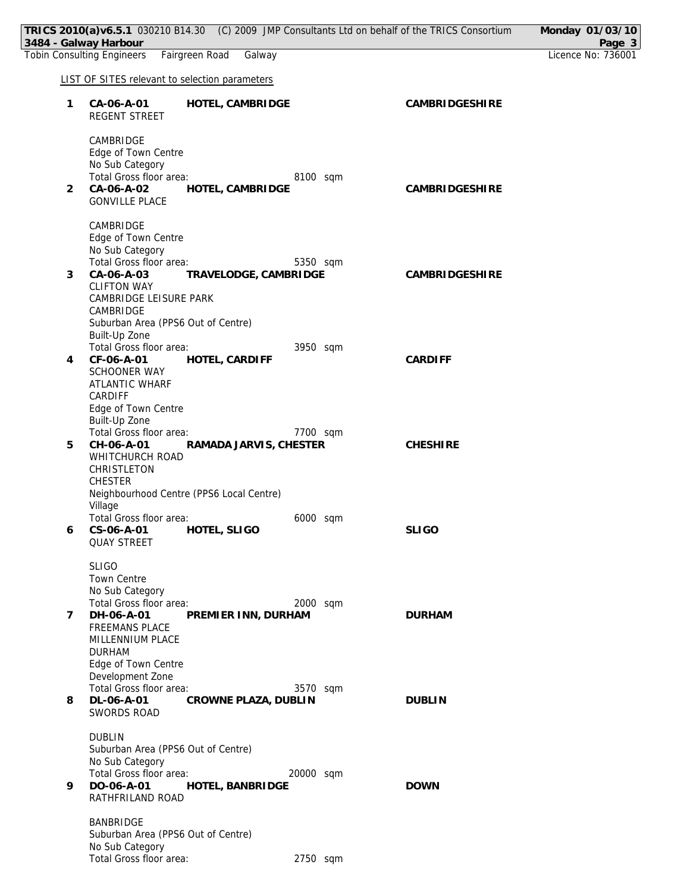|                | TRICS 2010(a)v6.5.1 030210 B14.30 (C) 2009 JMP Consultants Ltd on behalf of the TRICS Consortium |                       | Monday 01/03/10              |
|----------------|--------------------------------------------------------------------------------------------------|-----------------------|------------------------------|
|                | 3484 - Galway Harbour<br><b>Tobin Consulting Engineers</b><br>Fairgreen Road<br>Galway           |                       | Page 3<br>Licence No: 736001 |
|                | <b>LIST OF SITES relevant to selection parameters</b>                                            |                       |                              |
|                |                                                                                                  |                       |                              |
| 1              | CA-06-A-01<br>HOTEL, CAMBRIDGE<br>REGENT STREET                                                  | CAMBRIDGESHIRE        |                              |
|                | CAMBRIDGE<br>Edge of Town Centre                                                                 |                       |                              |
|                | No Sub Category<br>Total Gross floor area:<br>8100 sqm                                           |                       |                              |
| 2              | CA-06-A-02<br>HOTEL, CAMBRIDGE<br><b>GONVILLE PLACE</b>                                          | <b>CAMBRIDGESHIRE</b> |                              |
|                | CAMBRIDGE<br>Edge of Town Centre                                                                 |                       |                              |
|                | No Sub Category                                                                                  |                       |                              |
| 3              | Total Gross floor area:<br>5350 sqm<br>CA-06-A-03<br>TRAVELODGE, CAMBRIDGE                       | CAMBRIDGESHIRE        |                              |
|                | <b>CLIFTON WAY</b><br>CAMBRIDGE LEISURE PARK                                                     |                       |                              |
|                | CAMBRIDGE                                                                                        |                       |                              |
|                | Suburban Area (PPS6 Out of Centre)<br>Built-Up Zone                                              |                       |                              |
|                | Total Gross floor area:<br>3950 sqm                                                              |                       |                              |
| 4              | CF-06-A-01<br>HOTEL, CARDIFF<br><b>SCHOONER WAY</b>                                              | <b>CARDIFF</b>        |                              |
|                | ATLANTIC WHARF                                                                                   |                       |                              |
|                | CARDIFF<br>Edge of Town Centre                                                                   |                       |                              |
|                | Built-Up Zone<br>Total Gross floor area:<br>7700 sqm                                             |                       |                              |
| 5              | CH-06-A-01<br>RAMADA JARVIS, CHESTER                                                             | <b>CHESHIRE</b>       |                              |
|                | WHITCHURCH ROAD<br>CHRISTLETON                                                                   |                       |                              |
|                | <b>CHESTER</b>                                                                                   |                       |                              |
|                | Neighbourhood Centre (PPS6 Local Centre)<br>Village                                              |                       |                              |
| 6              | Total Gross floor area:<br>6000 sqm<br>HOTEL, SLIGO<br>CS-06-A-01                                | <b>SLIGO</b>          |                              |
|                | <b>QUAY STREET</b>                                                                               |                       |                              |
|                | <b>SLIGO</b>                                                                                     |                       |                              |
|                | <b>Town Centre</b><br>No Sub Category                                                            |                       |                              |
| $\overline{7}$ | Total Gross floor area:<br>2000 sqm<br>DH-06-A-01<br>PREMIER INN, DURHAM                         | <b>DURHAM</b>         |                              |
|                | FREEMANS PLACE                                                                                   |                       |                              |
|                | MILLENNIUM PLACE<br><b>DURHAM</b>                                                                |                       |                              |
|                | Edge of Town Centre<br>Development Zone                                                          |                       |                              |
|                | Total Gross floor area:<br>3570 sqm                                                              |                       |                              |
| 8              | DL-06-A-01<br>CROWNE PLAZA, DUBLIN<br>SWORDS ROAD                                                | <b>DUBLIN</b>         |                              |
|                | <b>DUBLIN</b>                                                                                    |                       |                              |
|                | Suburban Area (PPS6 Out of Centre)<br>No Sub Category                                            |                       |                              |
|                | Total Gross floor area:<br>20000 sqm                                                             |                       |                              |
| 9              | DO-06-A-01<br>HOTEL, BANBRIDGE<br>RATHFRILAND ROAD                                               | <b>DOWN</b>           |                              |
|                | <b>BANBRIDGE</b>                                                                                 |                       |                              |
|                | Suburban Area (PPS6 Out of Centre)<br>No Sub Category                                            |                       |                              |
|                | Total Gross floor area:<br>2750 sqm                                                              |                       |                              |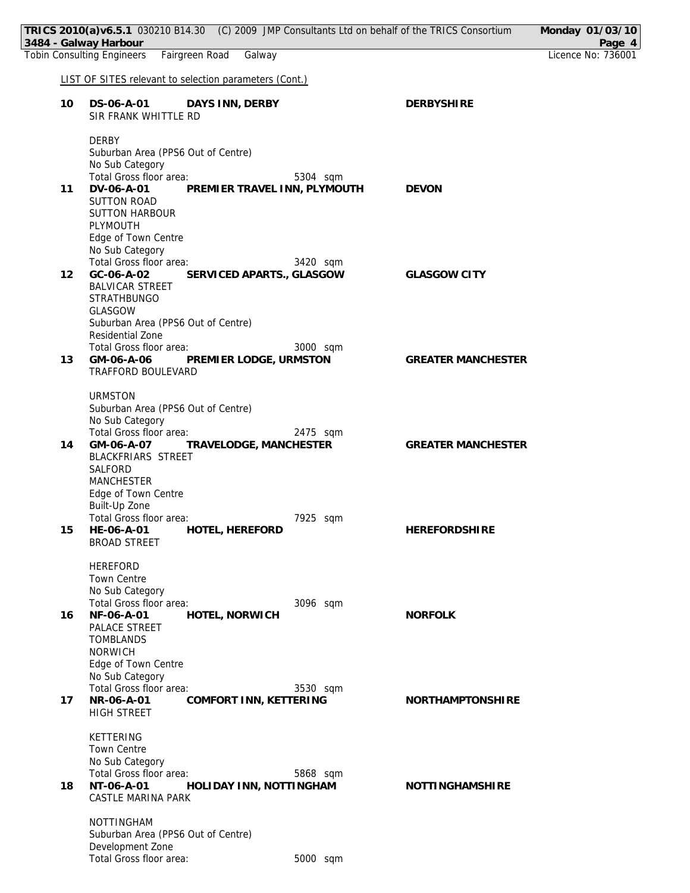|    | TRICS 2010(a)v6.5.1 030210 B14.30 (C) 2009 JMP Consultants Ltd on behalf of the TRICS Consortium<br>3484 - Galway Harbour                                                                                 |                           | Monday 01/03/10<br>Page 4 |
|----|-----------------------------------------------------------------------------------------------------------------------------------------------------------------------------------------------------------|---------------------------|---------------------------|
|    | Fairgreen Road<br><b>Tobin Consulting Engineers</b><br>Galway                                                                                                                                             |                           | Licence No: 736001        |
|    | LIST OF SITES relevant to selection parameters (Cont.)                                                                                                                                                    |                           |                           |
| 10 | DS-06-A-01<br>DAYS INN, DERBY<br>SIR FRANK WHITTLE RD                                                                                                                                                     | <b>DERBYSHIRE</b>         |                           |
| 11 | <b>DERBY</b><br>Suburban Area (PPS6 Out of Centre)<br>No Sub Category<br>Total Gross floor area:<br>5304 sqm<br>PREMIER TRAVEL INN, PLYMOUTH<br>DV-06-A-01<br><b>SUTTON ROAD</b><br><b>SUTTON HARBOUR</b> | <b>DEVON</b>              |                           |
| 12 | PLYMOUTH<br>Edge of Town Centre<br>No Sub Category<br>Total Gross floor area:<br>3420 sqm<br>GC-06-A-02<br>SERVICED APARTS., GLASGOW<br><b>BALVICAR STREET</b><br><b>STRATHBUNGO</b>                      | <b>GLASGOW CITY</b>       |                           |
| 13 | GLASGOW<br>Suburban Area (PPS6 Out of Centre)<br>Residential Zone<br>3000 sqm<br>Total Gross floor area:<br>GM-06-A-06 PREMIER LODGE, URMSTON<br>TRAFFORD BOULEVARD                                       | <b>GREATER MANCHESTER</b> |                           |
| 14 | <b>URMSTON</b><br>Suburban Area (PPS6 Out of Centre)<br>No Sub Category<br>Total Gross floor area:<br>2475 sqm<br>GM-06-A-07 TRAVELODGE, MANCHESTER<br>BLACKFRIARS STREET<br>SALFORD<br><b>MANCHESTER</b> | <b>GREATER MANCHESTER</b> |                           |
| 15 | Edge of Town Centre<br>Built-Up Zone<br>Total Gross floor area:<br>7925 sqm<br>HE-06-A-01 HOTEL, HEREFORD<br><b>BROAD STREET</b>                                                                          | <b>HEREFORDSHIRE</b>      |                           |
| 16 | <b>HEREFORD</b><br>Town Centre<br>No Sub Category<br>Total Gross floor area:<br>3096 sqm<br>NF-06-A-01<br>HOTEL, NORWICH<br>PALACE STREET<br><b>TOMBLANDS</b><br><b>NORWICH</b>                           | <b>NORFOLK</b>            |                           |
| 17 | Edge of Town Centre<br>No Sub Category<br>Total Gross floor area:<br>3530 sqm<br>NR-06-A-01<br>COMFORT INN, KETTERING<br>HIGH STREET                                                                      | NORTHAMPTONSHIRE          |                           |
| 18 | KETTERING<br><b>Town Centre</b><br>No Sub Category<br>Total Gross floor area:<br>5868 sqm<br>NT-06-A-01<br>HOLIDAY INN, NOTTINGHAM<br>CASTLE MARINA PARK                                                  | <b>NOTTINGHAMSHIRE</b>    |                           |
|    | NOTTINGHAM<br>Suburban Area (PPS6 Out of Centre)<br>Development Zone<br>Total Gross floor area:<br>5000 sqm                                                                                               |                           |                           |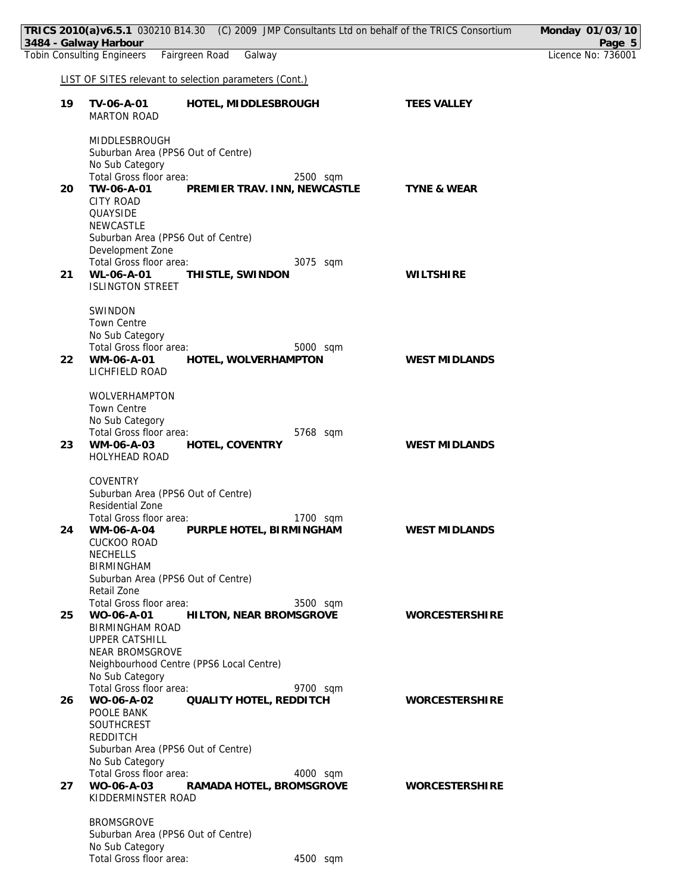|    | TRICS 2010(a)v6.5.1 030210 B14.30 (C) 2009 JMP Consultants Ltd on behalf of the TRICS Consortium<br>3484 - Galway Harbour |                        | Monday 01/03/10<br>Page 5 |
|----|---------------------------------------------------------------------------------------------------------------------------|------------------------|---------------------------|
|    | <b>Tobin Consulting Engineers</b><br>Fairgreen Road<br>Galway                                                             |                        | Licence No: 736001        |
|    | LIST OF SITES relevant to selection parameters (Cont.)                                                                    |                        |                           |
| 19 | TV-06-A-01<br>HOTEL, MIDDLESBROUGH                                                                                        | <b>TEES VALLEY</b>     |                           |
|    | <b>MARTON ROAD</b>                                                                                                        |                        |                           |
|    | MIDDLESBROUGH                                                                                                             |                        |                           |
|    | Suburban Area (PPS6 Out of Centre)<br>No Sub Category                                                                     |                        |                           |
|    | Total Gross floor area:<br>2500 sqm                                                                                       |                        |                           |
| 20 | TW-06-A-01<br>PREMIER TRAV. INN, NEWCASTLE                                                                                | <b>TYNE &amp; WEAR</b> |                           |
|    | <b>CITY ROAD</b><br>QUAYSIDE                                                                                              |                        |                           |
|    | <b>NEWCASTLE</b>                                                                                                          |                        |                           |
|    | Suburban Area (PPS6 Out of Centre)<br>Development Zone                                                                    |                        |                           |
|    | Total Gross floor area:<br>3075 sqm                                                                                       |                        |                           |
| 21 | WL-06-A-01<br>THISTLE, SWINDON                                                                                            | <b>WILTSHIRE</b>       |                           |
|    | <b>ISLINGTON STREET</b>                                                                                                   |                        |                           |
|    | SWINDON                                                                                                                   |                        |                           |
|    | <b>Town Centre</b><br>No Sub Category                                                                                     |                        |                           |
|    | Total Gross floor area:<br>5000 sqm                                                                                       |                        |                           |
| 22 | WM-06-A-01<br>HOTEL, WOLVERHAMPTON<br>LICHFIELD ROAD                                                                      | <b>WEST MIDLANDS</b>   |                           |
|    |                                                                                                                           |                        |                           |
|    | WOLVERHAMPTON<br><b>Town Centre</b>                                                                                       |                        |                           |
|    | No Sub Category                                                                                                           |                        |                           |
| 23 | Total Gross floor area:<br>5768 sqm<br>WM-06-A-03<br>HOTEL, COVENTRY                                                      | WEST MIDLANDS          |                           |
|    | <b>HOLYHEAD ROAD</b>                                                                                                      |                        |                           |
|    | <b>COVENTRY</b>                                                                                                           |                        |                           |
|    | Suburban Area (PPS6 Out of Centre)                                                                                        |                        |                           |
|    | Residential Zone<br>Total Gross floor area:<br>1700 sqm                                                                   |                        |                           |
| 24 | PURPLE HOTEL, BIRMINGHAM<br>WM-06-A-04                                                                                    | <b>WEST MIDLANDS</b>   |                           |
|    | <b>CUCKOO ROAD</b>                                                                                                        |                        |                           |
|    | <b>NECHELLS</b><br><b>BIRMINGHAM</b>                                                                                      |                        |                           |
|    | Suburban Area (PPS6 Out of Centre)                                                                                        |                        |                           |
|    | Retail Zone<br>Total Gross floor area:<br>3500 sqm                                                                        |                        |                           |
| 25 | WO-06-A-01<br>HILTON, NEAR BROMSGROVE                                                                                     | <b>WORCESTERSHIRE</b>  |                           |
|    | <b>BIRMINGHAM ROAD</b><br><b>UPPER CATSHILL</b>                                                                           |                        |                           |
|    | NEAR BROMSGROVE                                                                                                           |                        |                           |
|    | Neighbourhood Centre (PPS6 Local Centre)<br>No Sub Category                                                               |                        |                           |
|    | Total Gross floor area:<br>9700 sqm                                                                                       |                        |                           |
| 26 | WO-06-A-02<br>QUALITY HOTEL, REDDITCH<br>POOLE BANK                                                                       | <b>WORCESTERSHIRE</b>  |                           |
|    | SOUTHCREST                                                                                                                |                        |                           |
|    | REDDITCH                                                                                                                  |                        |                           |
|    | Suburban Area (PPS6 Out of Centre)<br>No Sub Category                                                                     |                        |                           |
|    | Total Gross floor area:<br>4000 sqm                                                                                       |                        |                           |
| 27 | RAMADA HOTEL, BROMSGROVE<br>WO-06-A-03<br>KIDDERMINSTER ROAD                                                              | <b>WORCESTERSHIRE</b>  |                           |
|    |                                                                                                                           |                        |                           |
|    | <b>BROMSGROVE</b><br>Suburban Area (PPS6 Out of Centre)                                                                   |                        |                           |
|    | No Sub Category                                                                                                           |                        |                           |
|    | Total Gross floor area:<br>4500 sqm                                                                                       |                        |                           |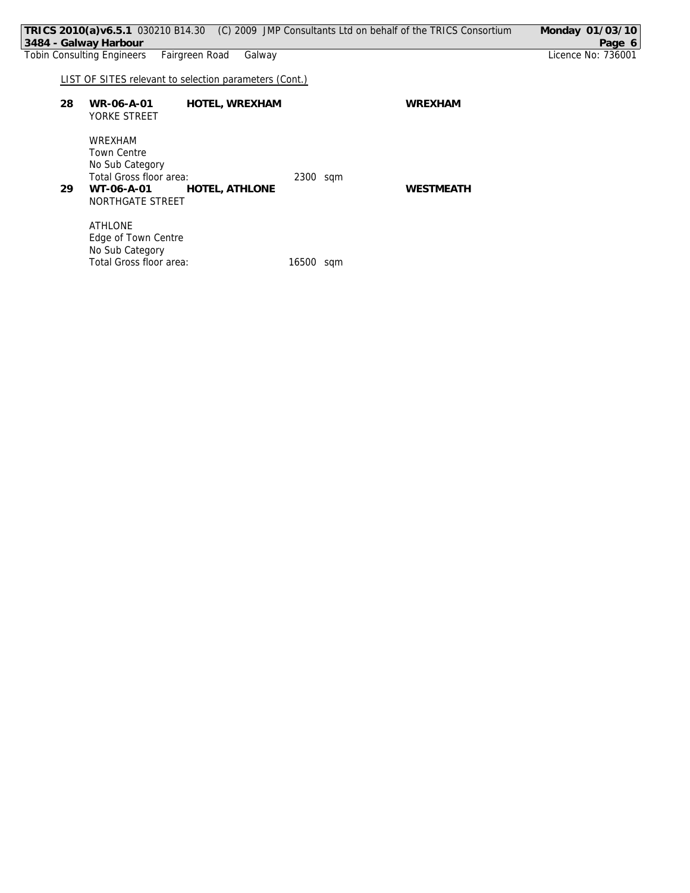| TRICS 2010(a)v6.5.1 030210 B14.30 (C) 2009 JMP Consultants Ltd on behalf of the TRICS Consortium | Monday 01/03/10                                        |           |                  |                    |
|--------------------------------------------------------------------------------------------------|--------------------------------------------------------|-----------|------------------|--------------------|
| 3484 - Galway Harbour                                                                            |                                                        |           |                  | Page 6             |
| <b>Tobin Consulting Engineers</b>                                                                | Fairgreen Road<br>Galway                               |           |                  | Licence No: 736001 |
|                                                                                                  |                                                        |           |                  |                    |
|                                                                                                  | LIST OF SITES relevant to selection parameters (Cont.) |           |                  |                    |
|                                                                                                  |                                                        |           |                  |                    |
| 28                                                                                               | HOTEL, WREXHAM<br>WR-06-A-01                           |           | WREXHAM          |                    |
|                                                                                                  | YORKE STREET                                           |           |                  |                    |
|                                                                                                  |                                                        |           |                  |                    |
|                                                                                                  | WREXHAM                                                |           |                  |                    |
|                                                                                                  | <b>Town Centre</b>                                     |           |                  |                    |
|                                                                                                  | No Sub Category                                        |           |                  |                    |
|                                                                                                  | Total Gross floor area:                                | 2300 sqm  |                  |                    |
| 29                                                                                               | HOTEL, ATHLONE<br>WT-06-A-01                           |           | <b>WESTMEATH</b> |                    |
|                                                                                                  | NORTHGATE STREET                                       |           |                  |                    |
|                                                                                                  | <b>ATHLONE</b>                                         |           |                  |                    |
|                                                                                                  | Edge of Town Centre                                    |           |                  |                    |
|                                                                                                  | No Sub Category                                        |           |                  |                    |
|                                                                                                  | Total Gross floor area:                                | 16500 sqm |                  |                    |
|                                                                                                  |                                                        |           |                  |                    |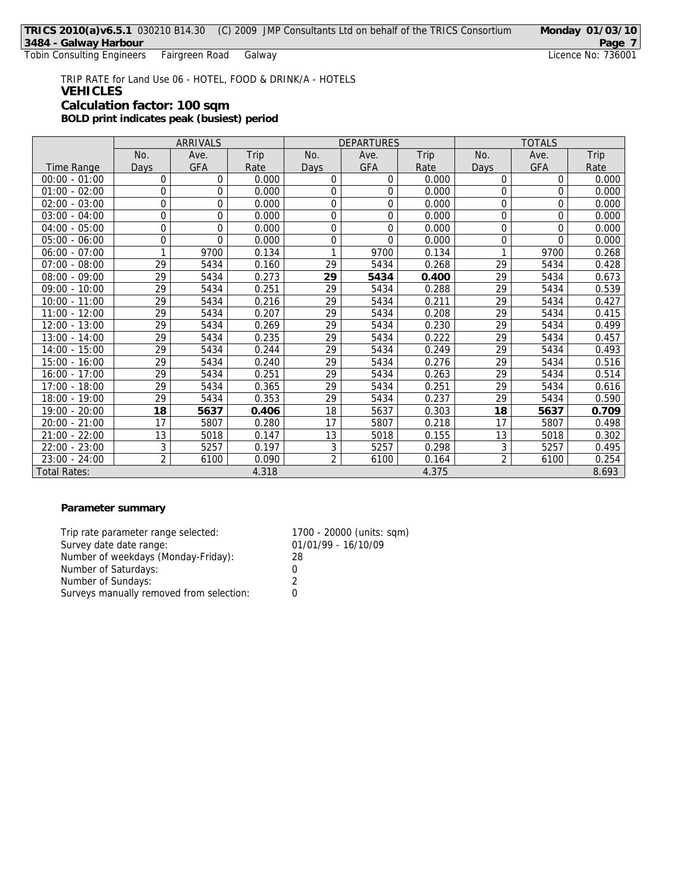Tobin Consulting Engineers Fairgreen Road

TRIP RATE for Land Use 06 - HOTEL, FOOD & DRINK/A - HOTELS **VEHICLES Calculation factor: 100 sqm BOLD print indicates peak (busiest) period**

|                     | ARRIVALS       |      |       | <b>DEPARTURES</b> |      |       | <b>TOTALS</b>  |          |       |
|---------------------|----------------|------|-------|-------------------|------|-------|----------------|----------|-------|
|                     | No.            | Ave. | Trip  | No.               | Ave. | Trip  | No.            | Ave.     | Trip  |
| Time Range          | Days           | GFA  | Rate  | Days              | GFA  | Rate  | Days           | GFA      | Rate  |
| $00:00 - 01:00$     | 0              | 0    | 0.000 | 0                 | 0    | 0.000 | 0              | $\Omega$ | 0.000 |
| $01:00 - 02:00$     | $\mathbf 0$    | 0    | 0.000 | 0                 | 0    | 0.000 | 0              | 0        | 0.000 |
| $02:00 - 03:00$     | $\mathbf 0$    | 0    | 0.000 | 0                 | 0    | 0.000 | 0              | 0        | 0.000 |
| $03:00 - 04:00$     | 0              | 0    | 0.000 | 0                 | 0    | 0.000 | 0              | $\Omega$ | 0.000 |
| $04:00 - 05:00$     | $\mathbf 0$    | 0    | 0.000 | 0                 | 0    | 0.000 | 0              | $\Omega$ | 0.000 |
| $05:00 - 06:00$     | $\mathbf 0$    | 0    | 0.000 | 0                 | 0    | 0.000 | $\overline{0}$ | $\Omega$ | 0.000 |
| $06:00 - 07:00$     | 1              | 9700 | 0.134 | 1                 | 9700 | 0.134 | 1              | 9700     | 0.268 |
| $07:00 - 08:00$     | 29             | 5434 | 0.160 | 29                | 5434 | 0.268 | 29             | 5434     | 0.428 |
| $08:00 - 09:00$     | 29             | 5434 | 0.273 | 29                | 5434 | 0.400 | 29             | 5434     | 0.673 |
| $09:00 - 10:00$     | 29             | 5434 | 0.251 | 29                | 5434 | 0.288 | 29             | 5434     | 0.539 |
| $10:00 - 11:00$     | 29             | 5434 | 0.216 | 29                | 5434 | 0.211 | 29             | 5434     | 0.427 |
| $11:00 - 12:00$     | 29             | 5434 | 0.207 | 29                | 5434 | 0.208 | 29             | 5434     | 0.415 |
| $12:00 - 13:00$     | 29             | 5434 | 0.269 | 29                | 5434 | 0.230 | 29             | 5434     | 0.499 |
| $13:00 - 14:00$     | 29             | 5434 | 0.235 | 29                | 5434 | 0.222 | 29             | 5434     | 0.457 |
| $14:00 - 15:00$     | 29             | 5434 | 0.244 | 29                | 5434 | 0.249 | 29             | 5434     | 0.493 |
| $15:00 - 16:00$     | 29             | 5434 | 0.240 | 29                | 5434 | 0.276 | 29             | 5434     | 0.516 |
| $16:00 - 17:00$     | 29             | 5434 | 0.251 | 29                | 5434 | 0.263 | 29             | 5434     | 0.514 |
| $17:00 - 18:00$     | 29             | 5434 | 0.365 | 29                | 5434 | 0.251 | 29             | 5434     | 0.616 |
| 18:00 - 19:00       | 29             | 5434 | 0.353 | 29                | 5434 | 0.237 | 29             | 5434     | 0.590 |
| 19:00 - 20:00       | 18             | 5637 | 0.406 | 18                | 5637 | 0.303 | 18             | 5637     | 0.709 |
| $20:00 - 21:00$     | 17             | 5807 | 0.280 | 17                | 5807 | 0.218 | 17             | 5807     | 0.498 |
| $21:00 - 22:00$     | 13             | 5018 | 0.147 | 13                | 5018 | 0.155 | 13             | 5018     | 0.302 |
| $22:00 - 23:00$     | 3              | 5257 | 0.197 | $\overline{3}$    | 5257 | 0.298 | 3              | 5257     | 0.495 |
| $23:00 - 24:00$     | $\overline{2}$ | 6100 | 0.090 | $\overline{2}$    | 6100 | 0.164 | $\overline{2}$ | 6100     | 0.254 |
| <b>Total Rates:</b> |                |      | 4.318 |                   |      | 4.375 |                |          | 8.693 |

## **Parameter summary**

| Trip rate parameter range selected:      | 1700 - 20000 (units: sqm) |
|------------------------------------------|---------------------------|
| Survey date date range:                  | 01/01/99 - 16/10/09       |
| Number of weekdays (Monday-Friday):      | 28                        |
| Number of Saturdays:                     |                           |
| Number of Sundays:                       | 2                         |
| Surveys manually removed from selection: |                           |
|                                          |                           |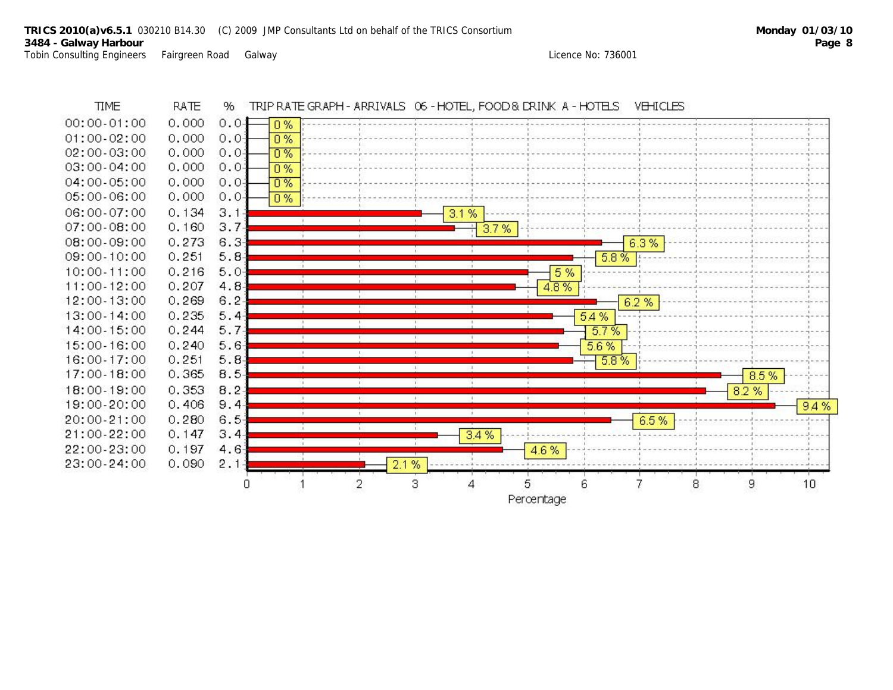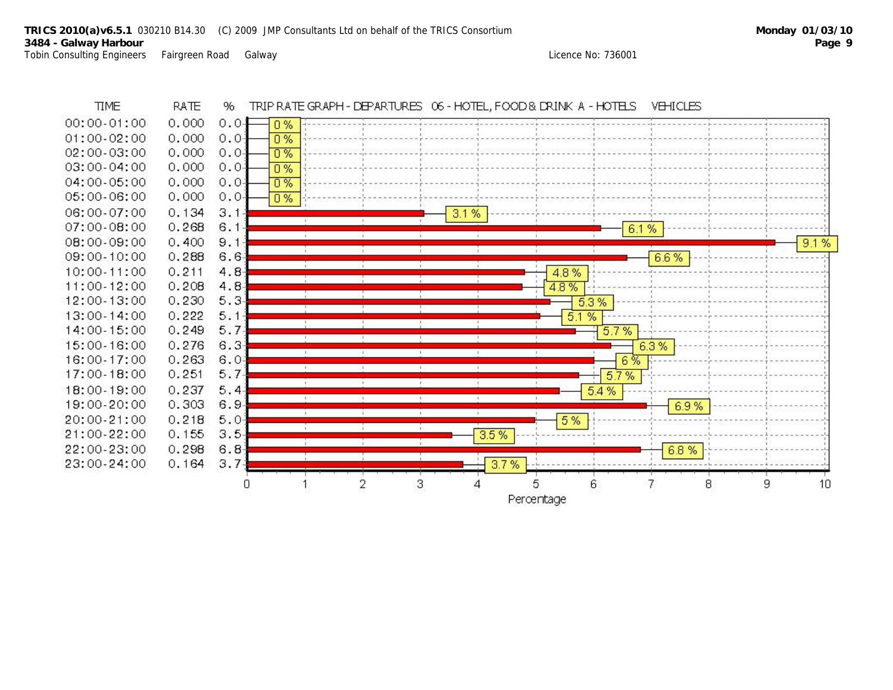